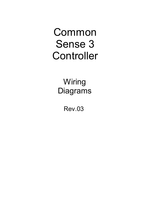Common Sense 3 **Controller** 

> **Wiring** Diagrams

> > Rev.03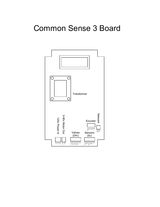## Common Sense 3 Board

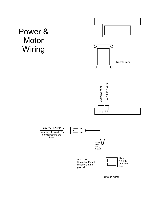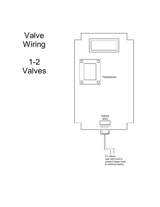

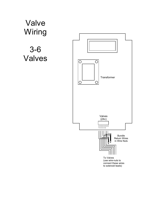Valve **Wiring** 

3-6 Valves

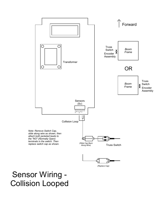

## Sensor Wiring - Collision Looped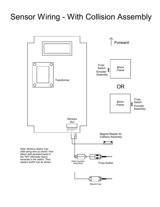## Sensor Wiring - With Collision Assembly



(Replace Cap)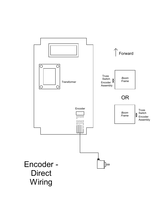